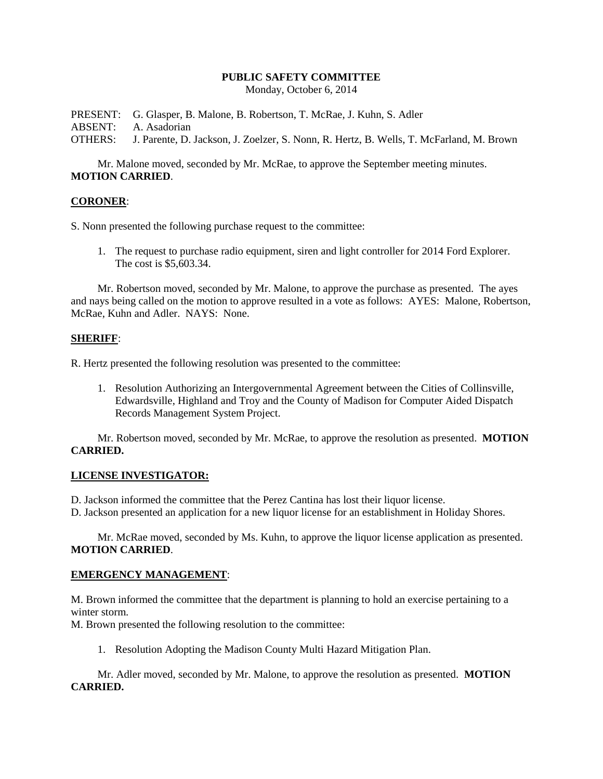# **PUBLIC SAFETY COMMITTEE**

Monday, October 6, 2014

PRESENT: G. Glasper, B. Malone, B. Robertson, T. McRae, J. Kuhn, S. Adler ABSENT: A. Asadorian

OTHERS: J. Parente, D. Jackson, J. Zoelzer, S. Nonn, R. Hertz, B. Wells, T. McFarland, M. Brown

Mr. Malone moved, seconded by Mr. McRae, to approve the September meeting minutes. **MOTION CARRIED**.

### **CORONER**:

S. Nonn presented the following purchase request to the committee:

1. The request to purchase radio equipment, siren and light controller for 2014 Ford Explorer. The cost is \$5,603.34.

Mr. Robertson moved, seconded by Mr. Malone, to approve the purchase as presented. The ayes and nays being called on the motion to approve resulted in a vote as follows: AYES: Malone, Robertson, McRae, Kuhn and Adler. NAYS: None.

### **SHERIFF**:

R. Hertz presented the following resolution was presented to the committee:

1. Resolution Authorizing an Intergovernmental Agreement between the Cities of Collinsville, Edwardsville, Highland and Troy and the County of Madison for Computer Aided Dispatch Records Management System Project.

Mr. Robertson moved, seconded by Mr. McRae, to approve the resolution as presented. **MOTION CARRIED.**

## **LICENSE INVESTIGATOR:**

D. Jackson informed the committee that the Perez Cantina has lost their liquor license.

D. Jackson presented an application for a new liquor license for an establishment in Holiday Shores.

Mr. McRae moved, seconded by Ms. Kuhn, to approve the liquor license application as presented. **MOTION CARRIED**.

### **EMERGENCY MANAGEMENT**:

M. Brown informed the committee that the department is planning to hold an exercise pertaining to a winter storm.

M. Brown presented the following resolution to the committee:

1. Resolution Adopting the Madison County Multi Hazard Mitigation Plan.

Mr. Adler moved, seconded by Mr. Malone, to approve the resolution as presented. **MOTION CARRIED.**